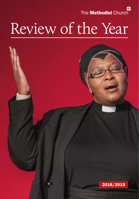The Methodist Church

# Review of the Year

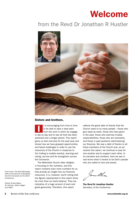# Welcome

## from the Revd Dr Jonathan R Hustler



#### Sisters and brothers,

t is encouraging from time to time to be able to take a step back from the work in which we engage in day by day and to see all that has been achieved over a longer period. This report gives us that overview for the past year and shows how we have grasped opportunities and faced challenges in order to use the resources of the Church in response to Our Calling to enable worship, learning and caring, service and for evangelism across the Connexion.

The Methodist Church often delights in focusing on the numbers, and this report contains even more numbers for us that provide an insight into our financial resources. It is, however, worth noting that the figures represented in this report show far more than our bank balance. They are indicative of a huge amount of work and great generosity. Therefore, this report

reflects the great debt of thanks that the Church owes to so many people – those who give week by week, those who have given in the past, those who exercise trustee responsibilities, those who act voluntarily, and those in paid positions administering our finances. We owe a debt of thanks to all these members of the Church and, as we receive this report, we continue to pray for one another and to support each other. In its narrative and numbers, here we see in real terms what it means to be God's people who are called to love and praise.

Joutha

The Revd Dr Jonathan Hustler *Secretary of the Conference*

Front cover: The Revd Mmasape Zihle at the Service of Reception into Full Connexion at the 2019 Conference.

Photos © Alex Baker, Ali Johnson, Getty Images and TMCP.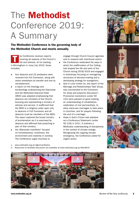# The Methodist Conference 2019: A Summary

The Methodist Conference is the governing body of the Methodist Church and meets annually.

> engage through Church Council agendas and to respond with intentional action; the Conference celebrated the ways in which the reaffirmation of Our Calling had shaped the life and work of the Church during 2018/2019 and engaged in workshops focusing on reimagining structures of decision-making and a developing strategy for evangelism; God in Love Unites Us, the report of the Marriage and Relationships Task Group, was commended to the Connexion for study and prayerful discussion2. Provisional resolutions (under SO 122) were passed on good relating, an understanding of cohabitation, celebration of civil partnerships, to allow same-sex marriages to take place in churches, and for prayers following

the end of a marriage;

urgent action.

Hope in God's Future was adopted as a Conference Statement (under SO 129) in 2011. It outlines a

Methodist understanding of discipleship in the context of climate change. Recognising the ongoing climate emergency, the Conference called for

he Conference receives reports covering all aspects of the Church's life and witness. At its meeting in Birmingham in June/July 2019, these included:

- four deacons and 22 presbyters were received into Full Connexion, along with seven presbyters by transfer and one by reinstatement;
- a report on the theology and ecclesiology underpinning the Diaconate and the Methodist Diaconal Order (MDO) was adopted emphasising that deacons are ministers of the Church, focusing and representing a ministry of witness and service. It reaffirmed that the MDO is a religious order open only to deacons in Full Connexion and all deacons must be members of the MDO. The report explored the broad ministry of proclamation as it is exercised by deacons and affirmed that preaching is part of that ministry;
- the 3Generate manifesto $1$  focused on homelessness, loneliness, the environment and creativity in worship. The Conference urged churches to
- 1. [www.methodist.org.uk/3genmanifestos](http://www.methodist.org.uk/3genmanifestos)
- 2. Resources to facilitate discussion are available at [www.methodist.org.uk/MandR19](http://www.methodist.org.uk/MandR19)









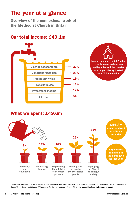## The year at a glance

Overview of the connexional work of the Methodist Church in Britain

## Our total income: £49.1m





### What we spent: £49.6m



The figures shown include the activities of related bodies such as Cliff College, All We Can and others. For the full list, please download the *Consolidated Report and Financial Statements for the year ended 31 August 2019* at www.methodist.org.uk/trusteesreport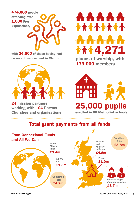

with 24,000 of those having had no recent involvement in Church



24 mission partners working with 104 Partner Churches and organisations and organisations **AAAAA** \*\*\*\*\*\*\*\* 4,271

places of worship, with 173,000 members



enrolled in 86 Methodist schools

## Total grant payments from all funds

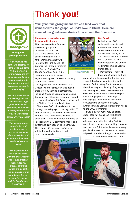# Thank you!

Your generous giving means we can fund work that demonstrates the gospel of God's love in Christ. Here are some of our good-news stories from around the Connexion.

#### Homegrown – exploring ways to grow faith at home

This livestreamed conference welcomed groups and individuals from across the UK and beyond to a day of learning on family faith. Working together with Parenting for Faith as well as Care for the Family's initiatives *Who Let the Dads Out?* and *The Kitchen Table Project*, the conference sought to equip

anyone working with families, especially parents and carers.

Alongside the live audience at Cliff College, where Homegrown was based, there were 30 venues livestreaming, including groups in Denmark and Iceland. Gemma Hunt (CBeebies presenter) hosted the event alongside Gail Adcock, officer with the Children, Youth and Family team.

There were 800 unique visitors to the Homegrown web page on the day, with 200 people watching the Facebook livestream. Another 7,300 people have watched it since then. It was also shared 65 times on Facebook with 173 comments made, and Twitter had 127 uses of #homegrown19. This shows high levels of engagement within the Methodist Church and more ecumenically.





#### God for All

Following over 100 collaborative events and thousands of one-to-one conversations across the Connexion in 2018/2019, 250 diverse leaders gathered on 19 October 2019 in Westminster for the God for All Evangelism and Growth Consultation.

Participants – many of them young people or those

stepping into leadership for the first time – spent the day actively listening for the voice of God, trusting God to speak into their dreaming and planning. They sang and worshipped, heard testimonies from disciples of Jesus across the theological spectrum, prayed in focused ways, and engaged in a series of facilitated conversations about the emerging Evangelism and Growth strategy that will go to the 2020 Conference.

It was a day of many moving parts, deep listening, audacious truth-telling and questioning, and – through it all – encounter with the Living God. One participant remarked how exciting it was to feel the Holy Spirit palpably moving among people who were not the same but were all passionate about the good news and a Church reshaped by God. She

lnn



Homegrown participants said:

*"For us it was the gathering together to share ideas. We come from a wide area covering rural and city parishes so to be able to come together to hear what is working elsewhere was really encouraging."*

*"We only livestreamed the evening and that was excellent. High production values. Streaming worked well. Great speakers. Very relaxed. World-class content. Very practical."*

*"The speakers were so engaging and passionate, and it was great to receive their knowledge and experience. Resources mentioned were so useful."*

*"The day made me more aware of the part the church family has to play. Baptism support, toddler groups, parenting courses are all part of the picture. As overall team leader the day encouraged me as I work to 'join the dots'. THANK YOU!!"*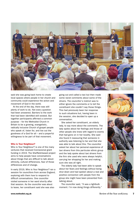

said she was going back home to create local spaces where people in her church and community could experience the action and movement of God in the world.

At the end of the day, there was still plenty of work to do. Not every question had been answered. Barriers to the work that had been identified still existed. But together participants affirmed a common purpose – for the Methodist Church in Britain to be a growing, evangelistic, radically inclusive Church of gospel people who speak of, listen for, and live out the goodness of a God for all – and a prayerful willingness to be part of that movement.

#### Who is Your Neighbour?

Who is Your Neighbour? is one of the many ventures that received Connexional grant funding in 2019. The Sheffield-based project aims to help people have conversations about things that are difficult to talk about: ethnicity, cultural differences, fear of those differences and of change.

In early 2019, Who is Your Neighbour? ran a session for councillors from across England, exploring with them how to respond to difficult conversations. One councillor visited someone in her ward shortly after that session. As the councillor was about to leave, her constituent said she was also

going out and called a taxi but then made some racist comments about some of the drivers. The councillor's instinct was to either ignore the comments or to tell the constituent she couldn't say those things. This had previously been her response to such situations but, having been in the session, she decided to open up a conversation.

She asked her constituent, an elderly lady, to say more about the comments. The lady spoke about her feelings and those of other people she knew with regard to events that had gone on in her locality. She said she found it reassuring that someone in authority was listening to her and that she was able to talk about this. The councillor asked her about her personal experience of taxi drivers from this particular ethnic group and the lady spoke about taxi drivers from the firm she used who were always helpful, carrying her shopping for her and making sure she was all right.

The elderly lady had been able to speak about her fears and feelings without being shut down and had spoken about a real and positive connection with people from the group she might have been prevented from talking about.

The councillor said, "It was a lightbulb moment. I'm now doing things differently."